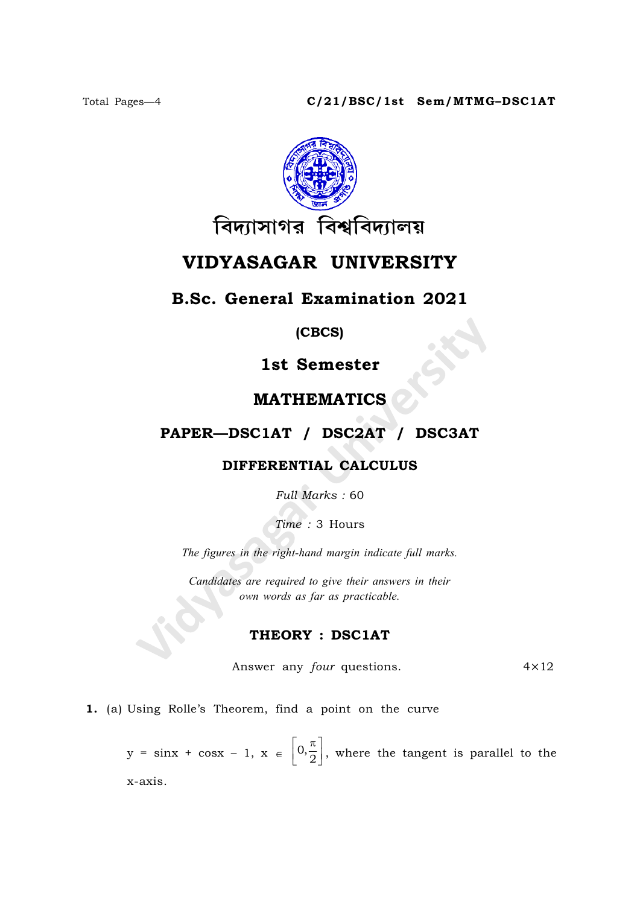

# VIDYASAGAR UNIVERSITY

# B.Sc. General Examination 2021

(CBCS)

1st Semester

# MATHEMATICS

## PAPER—DSC1AT / DSC2AT / DSC3AT

### DIFFERENTIAL CALCULUS

Full Marks : 60

Time : 3 Hours

The figures in the right-hand margin indicate full marks.

Candidates are required to give their answers in their own words as far as practicable.

### THEORY : DSC1AT

Answer any *four* questions.  $4 \times 12$ 

1. (a) Using Rolle's Theorem, find a point on the curve

 $y = \sin x + \cos x - 1, x \in \left[0, \frac{\pi}{2}\right]$  $\left[0,\!\frac{\pi}{2}\right],$  where the tangent is parallel to the x-axis.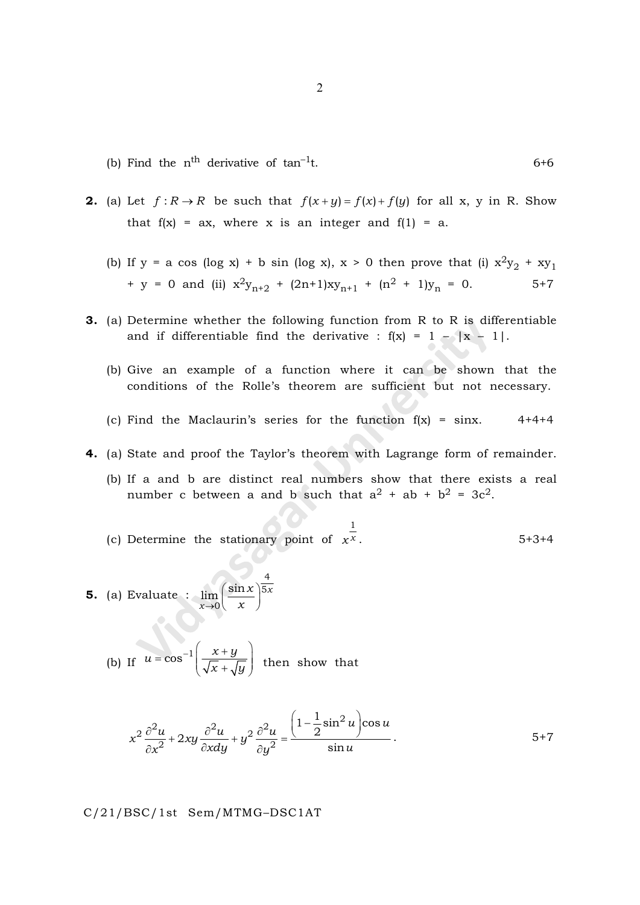- (b) Find the  $n<sup>th</sup>$  derivative of  $tan<sup>-1</sup>t$ . 6+6
- **2.** (a) Let  $f: R \to R$  be such that  $f(x+y) = f(x) + f(y)$  for all x, y in R. Show that  $f(x) = ax$ , where x is an integer and  $f(1) = a$ .
	- (b) If y = a cos (log x) + b sin (log x), x > 0 then prove that (i)  $x^2y_2 + xy_1$ + y = 0 and (ii)  $x^2y_{n+2}$  +  $(2n+1)xy_{n+1}$  +  $(n^2 + 1)y_n$  = 0. 5+7
- 3. (a) Determine whether the following function from R to R is differentiable and if differentiable find the derivative :  $f(x) = 1 - |x - 1|$ .
	- (b) Give an example of a function where it can be shown that the conditions of the Rolle's theorem are sufficient but not necessary.
	- (c) Find the Maclaurin's series for the function  $f(x) = \sin x$ . 4+4+4
- 4. (a) State and proof the Taylor's theorem with Lagrange form of remainder.
	- (b) If a and b are distinct real numbers show that there exists a real number c between a and b such that  $a^2 + ab + b^2 = 3c^2$ .
	- (c) Determine the stationary point of  $x^x$ 1  $5+3+4$
- **5.** (a) Evaluate :  $\lim_{x \to 0} \left| \frac{\sin x}{x} \right|^{5x}$ x x x 5 0  $\lim_{x\to 0} \left(\frac{\sin x}{x}\right)^{y}$ 
	- (b) If  $u = \cos^{-1}\left(\frac{x+y}{\sqrt{y}}\right)$  $x + \sqrt{y}$  $=\cos^{-1}\left(\frac{x+y}{\sqrt{y}}\right)$  $\left(\sqrt{x}+\sqrt{y}\right)$  then show that

4

$$
x^2 \frac{\partial^2 u}{\partial x^2} + 2xy \frac{\partial^2 u}{\partial x dy} + y^2 \frac{\partial^2 u}{\partial y^2} = \frac{\left(1 - \frac{1}{2} \sin^2 u\right) \cos u}{\sin u}.
$$

C/21/BSC/1st Sem/MTMG–DSC1AT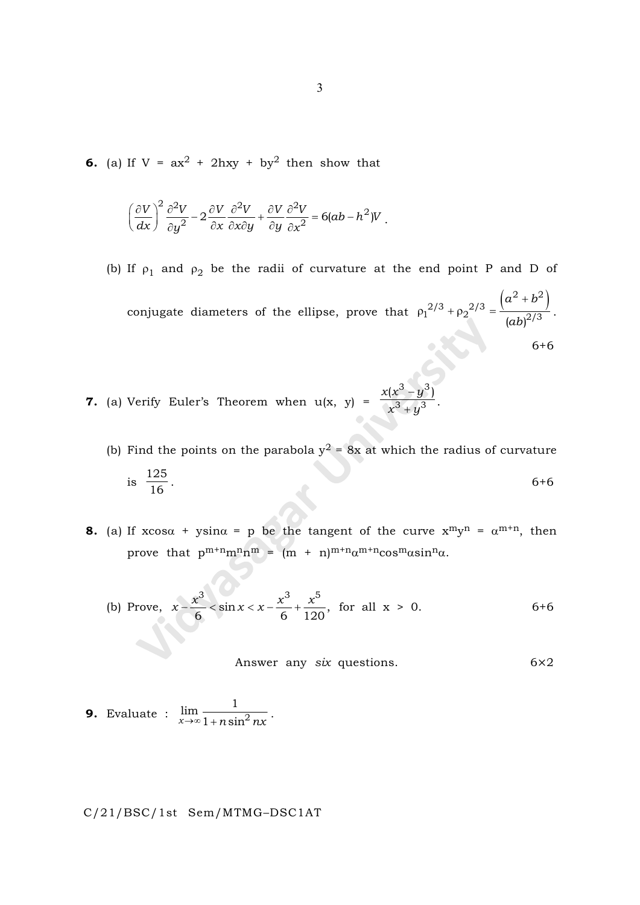**6.** (a) If  $V = ax^2 + 2hxy + by^2$  then show that

$$
\left(\frac{\partial V}{\partial x}\right)^2 \frac{\partial^2 V}{\partial y^2} - 2 \frac{\partial V}{\partial x} \frac{\partial^2 V}{\partial x \partial y} + \frac{\partial V}{\partial y} \frac{\partial^2 V}{\partial x^2} = 6(ab - h^2)V.
$$

- (b) If  $\rho_1$  and  $\rho_2$  be the radii of curvature at the end point P and D of conjugate diameters of the ellipse, prove that  $(a^2 + b^2)$  $p_1^{2/3}$  +  $p_2^{2/3}$  =  $\frac{(ab)^{2/3}}{(ab)^{2/3}}$  $\rho_1{}^{2/3} + \rho_2{}^{2/3} = \frac{(a^2 + a)^2}{a^2}$  $a^2 + b$ ab . 6+6
- **7.** (a) Verify Euler's Theorem when  $u(x, y) =$  $x(x^3 - y)$  $x^3 + y$  $3, 3$  $3^{3}$   $1^{3}$  $(x^3 - y^3)$  $\frac{1}{y^3}$ .
	- (b) Find the points on the parabola  $y^2 = 8x$  at which the radius of curvature is 125  $\frac{1}{16}$  . 6+6
- **8.** (a) If  $x\cos\alpha + y\sin\alpha = p$  be the tangent of the curve  $x^m y^n = \alpha^{m+n}$ , then prove that  $p^{m+n}m^{n}n^{m} = (m + n)^{m+n}\alpha^{m+n}\cos^{m}\alpha\sin^{n}\alpha$ .

(b) Prove, 
$$
x - \frac{x^3}{6} < \sin x < x - \frac{x^3}{6} + \frac{x^5}{120}
$$
, for all  $x > 0$ . 6+6

Answer any 
$$
six
$$
 questions.  $6 \times 2$ 

**9.** Evaluate : 
$$
\lim_{x \to \infty} \frac{1}{1 + n \sin^2 nx}.
$$

C/21/BSC/1st Sem/MTMG–DSC1AT